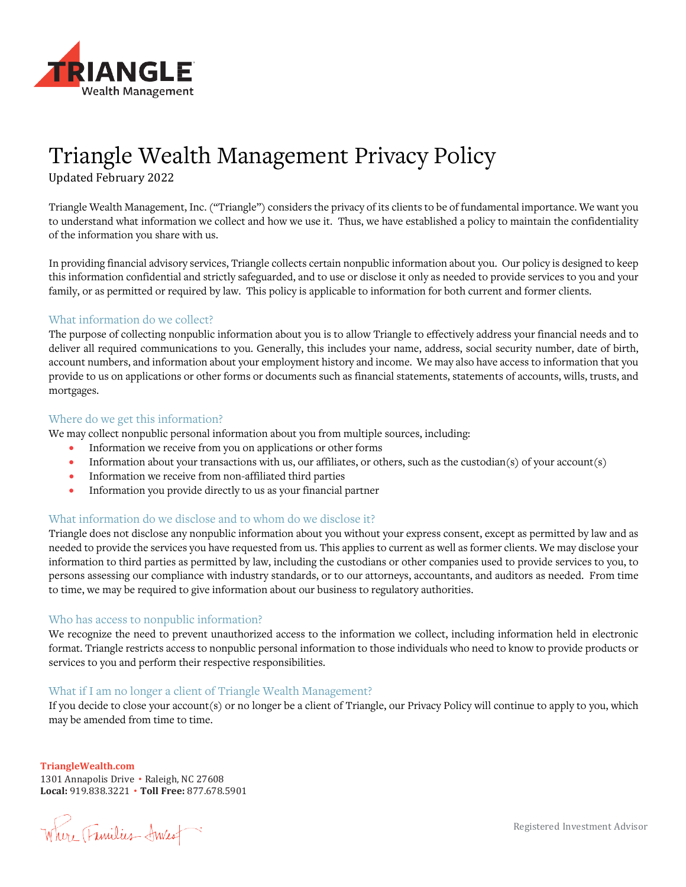

# Triangle Wealth Management Privacy Policy

Updated February 2022

Triangle Wealth Management, Inc. ("Triangle") considers the privacy of its clients to be of fundamental importance. We want you to understand what information we collect and how we use it. Thus, we have established a policy to maintain the confidentiality of the information you share with us.

In providing financial advisory services, Triangle collects certain nonpublic information about you. Our policy is designed to keep this information confidential and strictly safeguarded, and to use or disclose it only as needed to provide services to you and your family, or as permitted or required by law. This policy is applicable to information for both current and former clients.

## What information do we collect?

The purpose of collecting nonpublic information about you is to allow Triangle to effectively address your financial needs and to deliver all required communications to you. Generally, this includes your name, address, social security number, date of birth, account numbers, and information about your employment history and income. We may also have access to information that you provide to us on applications or other forms or documents such as financial statements, statements of accounts, wills, trusts, and mortgages.

## Where do we get this information?

We may collect nonpublic personal information about you from multiple sources, including:

- Information we receive from you on applications or other forms
- Information about your transactions with us, our affiliates, or others, such as the custodian(s) of your account(s)
- Information we receive from non-affiliated third parties
- Information you provide directly to us as your financial partner

# What information do we disclose and to whom do we disclose it?

Triangle does not disclose any nonpublic information about you without your express consent, except as permitted by law and as needed to provide the services you have requested from us. This applies to current as well as former clients. We may disclose your information to third parties as permitted by law, including the custodians or other companies used to provide services to you, to persons assessing our compliance with industry standards, or to our attorneys, accountants, and auditors as needed. From time to time, we may be required to give information about our business to regulatory authorities.

#### Who has access to nonpublic information?

We recognize the need to prevent unauthorized access to the information we collect, including information held in electronic format. Triangle restricts access to nonpublic personal information to those individuals who need to know to provide products or services to you and perform their respective responsibilities.

# What if I am no longer a client of Triangle Wealth Management?

If you decide to close your account(s) or no longer be a client of Triangle, our Privacy Policy will continue to apply to you, which may be amended from time to time.

**TriangleWealth.com**

1301 Annapolis Drive • Raleigh, NC 27608 **Local:** 919.838.3221 • **Toll Free:** 877.678.5901

Where Trinilies Anies

Registered Investment Advisor